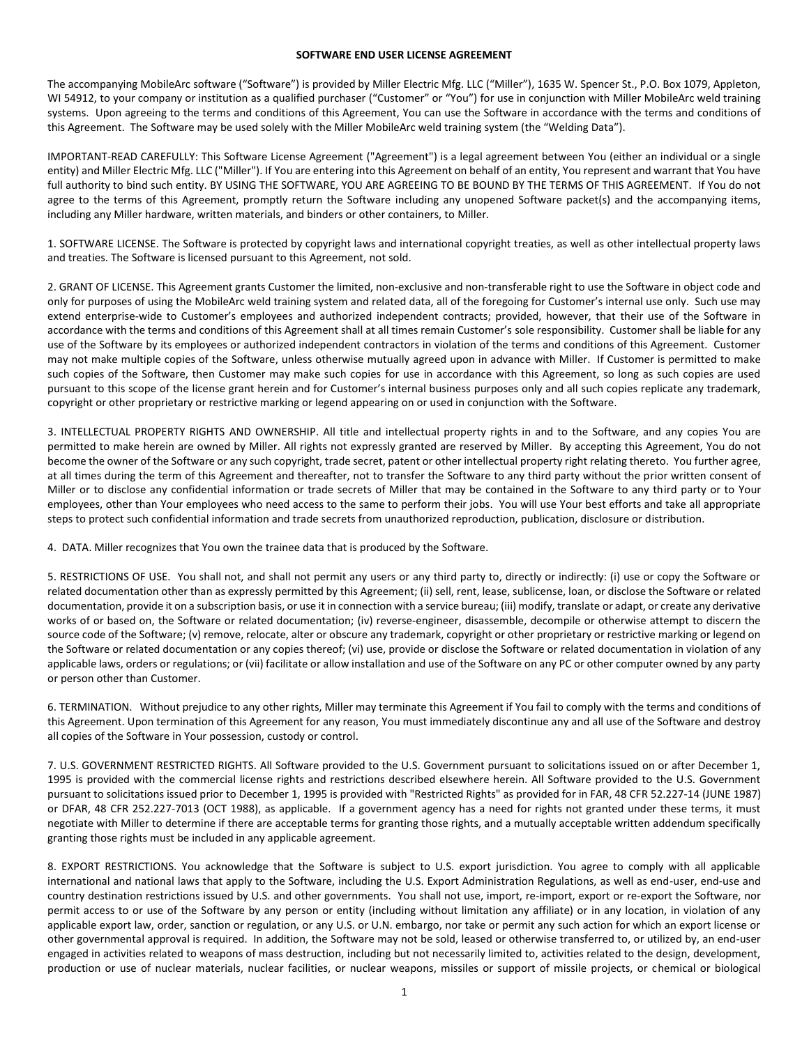### **SOFTWARE END USER LICENSE AGREEMENT**

The accompanying MobileArc software ("Software") is provided by Miller Electric Mfg. LLC ("Miller"), 1635 W. Spencer St., P.O. Box 1079, Appleton, WI 54912, to your company or institution as a qualified purchaser ("Customer" or "You") for use in conjunction with Miller MobileArc weld training systems. Upon agreeing to the terms and conditions of this Agreement, You can use the Software in accordance with the terms and conditions of this Agreement. The Software may be used solely with the Miller MobileArc weld training system (the "Welding Data").

IMPORTANT-READ CAREFULLY: This Software License Agreement ("Agreement") is a legal agreement between You (either an individual or a single entity) and Miller Electric Mfg. LLC ("Miller"). If You are entering into this Agreement on behalf of an entity, You represent and warrant that You have full authority to bind such entity. BY USING THE SOFTWARE, YOU ARE AGREEING TO BE BOUND BY THE TERMS OF THIS AGREEMENT. If You do not agree to the terms of this Agreement, promptly return the Software including any unopened Software packet(s) and the accompanying items, including any Miller hardware, written materials, and binders or other containers, to Miller.

1. SOFTWARE LICENSE. The Software is protected by copyright laws and international copyright treaties, as well as other intellectual property laws and treaties. The Software is licensed pursuant to this Agreement, not sold.

2. GRANT OF LICENSE. This Agreement grants Customer the limited, non-exclusive and non-transferable right to use the Software in object code and only for purposes of using the MobileArc weld training system and related data, all of the foregoing for Customer's internal use only. Such use may extend enterprise-wide to Customer's employees and authorized independent contracts; provided, however, that their use of the Software in accordance with the terms and conditions of this Agreement shall at all times remain Customer's sole responsibility. Customer shall be liable for any use of the Software by its employees or authorized independent contractors in violation of the terms and conditions of this Agreement. Customer may not make multiple copies of the Software, unless otherwise mutually agreed upon in advance with Miller. If Customer is permitted to make such copies of the Software, then Customer may make such copies for use in accordance with this Agreement, so long as such copies are used pursuant to this scope of the license grant herein and for Customer's internal business purposes only and all such copies replicate any trademark, copyright or other proprietary or restrictive marking or legend appearing on or used in conjunction with the Software.

3. INTELLECTUAL PROPERTY RIGHTS AND OWNERSHIP. All title and intellectual property rights in and to the Software, and any copies You are permitted to make herein are owned by Miller. All rights not expressly granted are reserved by Miller. By accepting this Agreement, You do not become the owner of the Software or any such copyright, trade secret, patent or other intellectual property right relating thereto. You further agree, at all times during the term of this Agreement and thereafter, not to transfer the Software to any third party without the prior written consent of Miller or to disclose any confidential information or trade secrets of Miller that may be contained in the Software to any third party or to Your employees, other than Your employees who need access to the same to perform their jobs. You will use Your best efforts and take all appropriate steps to protect such confidential information and trade secrets from unauthorized reproduction, publication, disclosure or distribution.

4. DATA. Miller recognizes that You own the trainee data that is produced by the Software.

5. RESTRICTIONS OF USE. You shall not, and shall not permit any users or any third party to, directly or indirectly: (i) use or copy the Software or related documentation other than as expressly permitted by this Agreement; (ii) sell, rent, lease, sublicense, loan, or disclose the Software or related documentation, provide it on a subscription basis, or use it in connection with a service bureau; (iii) modify, translate or adapt, or create any derivative works of or based on, the Software or related documentation; (iv) reverse-engineer, disassemble, decompile or otherwise attempt to discern the source code of the Software; (v) remove, relocate, alter or obscure any trademark, copyright or other proprietary or restrictive marking or legend on the Software or related documentation or any copies thereof; (vi) use, provide or disclose the Software or related documentation in violation of any applicable laws, orders or regulations; or (vii) facilitate or allow installation and use of the Software on any PC or other computer owned by any party or person other than Customer.

6. TERMINATION. Without prejudice to any other rights, Miller may terminate this Agreement if You fail to comply with the terms and conditions of this Agreement. Upon termination of this Agreement for any reason, You must immediately discontinue any and all use of the Software and destroy all copies of the Software in Your possession, custody or control.

7. U.S. GOVERNMENT RESTRICTED RIGHTS. All Software provided to the U.S. Government pursuant to solicitations issued on or after December 1, 1995 is provided with the commercial license rights and restrictions described elsewhere herein. All Software provided to the U.S. Government pursuant to solicitations issued prior to December 1, 1995 is provided with "Restricted Rights" as provided for in FAR, 48 CFR 52.227-14 (JUNE 1987) or DFAR, 48 CFR 252.227-7013 (OCT 1988), as applicable. If a government agency has a need for rights not granted under these terms, it must negotiate with Miller to determine if there are acceptable terms for granting those rights, and a mutually acceptable written addendum specifically granting those rights must be included in any applicable agreement.

8. EXPORT RESTRICTIONS. You acknowledge that the Software is subject to U.S. export jurisdiction. You agree to comply with all applicable international and national laws that apply to the Software, including the U.S. Export Administration Regulations, as well as end-user, end-use and country destination restrictions issued by U.S. and other governments. You shall not use, import, re-import, export or re-export the Software, nor permit access to or use of the Software by any person or entity (including without limitation any affiliate) or in any location, in violation of any applicable export law, order, sanction or regulation, or any U.S. or U.N. embargo, nor take or permit any such action for which an export license or other governmental approval is required. In addition, the Software may not be sold, leased or otherwise transferred to, or utilized by, an end-user engaged in activities related to weapons of mass destruction, including but not necessarily limited to, activities related to the design, development, production or use of nuclear materials, nuclear facilities, or nuclear weapons, missiles or support of missile projects, or chemical or biological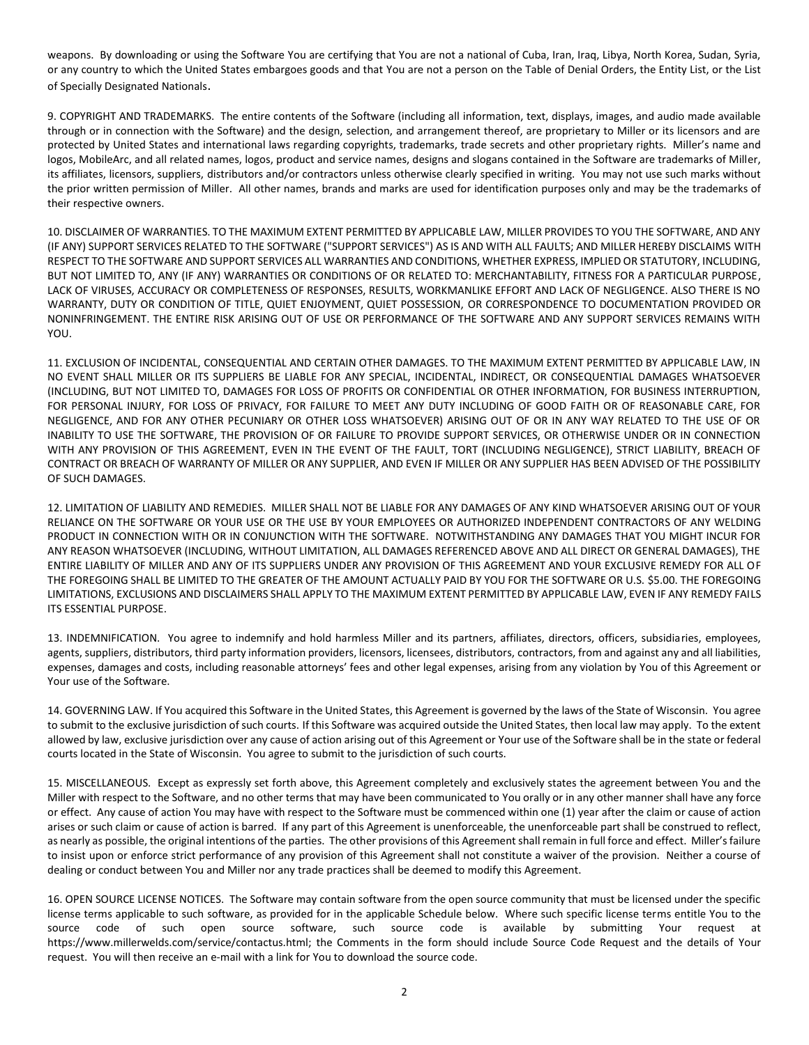weapons. By downloading or using the Software You are certifying that You are not a national of Cuba, Iran, Iraq, Libya, North Korea, Sudan, Syria, or any country to which the United States embargoes goods and that You are not a person on the Table of Denial Orders, the Entity List, or the List of Specially Designated Nationals.

9. COPYRIGHT AND TRADEMARKS. The entire contents of the Software (including all information, text, displays, images, and audio made available through or in connection with the Software) and the design, selection, and arrangement thereof, are proprietary to Miller or its licensors and are protected by United States and international laws regarding copyrights, trademarks, trade secrets and other proprietary rights. Miller's name and logos, MobileArc, and all related names, logos, product and service names, designs and slogans contained in the Software are trademarks of Miller, its affiliates, licensors, suppliers, distributors and/or contractors unless otherwise clearly specified in writing. You may not use such marks without the prior written permission of Miller. All other names, brands and marks are used for identification purposes only and may be the trademarks of their respective owners.

10. DISCLAIMER OF WARRANTIES. TO THE MAXIMUM EXTENT PERMITTED BY APPLICABLE LAW, MILLER PROVIDES TO YOU THE SOFTWARE, AND ANY (IF ANY) SUPPORT SERVICES RELATED TO THE SOFTWARE ("SUPPORT SERVICES") AS IS AND WITH ALL FAULTS; AND MILLER HEREBY DISCLAIMS WITH RESPECT TO THE SOFTWARE AND SUPPORT SERVICES ALL WARRANTIES AND CONDITIONS, WHETHER EXPRESS, IMPLIED OR STATUTORY, INCLUDING, BUT NOT LIMITED TO, ANY (IF ANY) WARRANTIES OR CONDITIONS OF OR RELATED TO: MERCHANTABILITY, FITNESS FOR A PARTICULAR PURPOSE, LACK OF VIRUSES, ACCURACY OR COMPLETENESS OF RESPONSES, RESULTS, WORKMANLIKE EFFORT AND LACK OF NEGLIGENCE. ALSO THERE IS NO WARRANTY, DUTY OR CONDITION OF TITLE, QUIET ENJOYMENT, QUIET POSSESSION, OR CORRESPONDENCE TO DOCUMENTATION PROVIDED OR NONINFRINGEMENT. THE ENTIRE RISK ARISING OUT OF USE OR PERFORMANCE OF THE SOFTWARE AND ANY SUPPORT SERVICES REMAINS WITH YOU.

11. EXCLUSION OF INCIDENTAL, CONSEQUENTIAL AND CERTAIN OTHER DAMAGES. TO THE MAXIMUM EXTENT PERMITTED BY APPLICABLE LAW, IN NO EVENT SHALL MILLER OR ITS SUPPLIERS BE LIABLE FOR ANY SPECIAL, INCIDENTAL, INDIRECT, OR CONSEQUENTIAL DAMAGES WHATSOEVER (INCLUDING, BUT NOT LIMITED TO, DAMAGES FOR LOSS OF PROFITS OR CONFIDENTIAL OR OTHER INFORMATION, FOR BUSINESS INTERRUPTION, FOR PERSONAL INJURY, FOR LOSS OF PRIVACY, FOR FAILURE TO MEET ANY DUTY INCLUDING OF GOOD FAITH OR OF REASONABLE CARE, FOR NEGLIGENCE, AND FOR ANY OTHER PECUNIARY OR OTHER LOSS WHATSOEVER) ARISING OUT OF OR IN ANY WAY RELATED TO THE USE OF OR INABILITY TO USE THE SOFTWARE, THE PROVISION OF OR FAILURE TO PROVIDE SUPPORT SERVICES, OR OTHERWISE UNDER OR IN CONNECTION WITH ANY PROVISION OF THIS AGREEMENT, EVEN IN THE EVENT OF THE FAULT, TORT (INCLUDING NEGLIGENCE), STRICT LIABILITY, BREACH OF CONTRACT OR BREACH OF WARRANTY OF MILLER OR ANY SUPPLIER, AND EVEN IF MILLER OR ANY SUPPLIER HAS BEEN ADVISED OF THE POSSIBILITY OF SUCH DAMAGES.

12. LIMITATION OF LIABILITY AND REMEDIES. MILLER SHALL NOT BE LIABLE FOR ANY DAMAGES OF ANY KIND WHATSOEVER ARISING OUT OF YOUR RELIANCE ON THE SOFTWARE OR YOUR USE OR THE USE BY YOUR EMPLOYEES OR AUTHORIZED INDEPENDENT CONTRACTORS OF ANY WELDING PRODUCT IN CONNECTION WITH OR IN CONJUNCTION WITH THE SOFTWARE. NOTWITHSTANDING ANY DAMAGES THAT YOU MIGHT INCUR FOR ANY REASON WHATSOEVER (INCLUDING, WITHOUT LIMITATION, ALL DAMAGES REFERENCED ABOVE AND ALL DIRECT OR GENERAL DAMAGES), THE ENTIRE LIABILITY OF MILLER AND ANY OF ITS SUPPLIERS UNDER ANY PROVISION OF THIS AGREEMENT AND YOUR EXCLUSIVE REMEDY FOR ALL OF THE FOREGOING SHALL BE LIMITED TO THE GREATER OF THE AMOUNT ACTUALLY PAID BY YOU FOR THE SOFTWARE OR U.S. \$5.00. THE FOREGOING LIMITATIONS, EXCLUSIONS AND DISCLAIMERS SHALL APPLY TO THE MAXIMUM EXTENT PERMITTED BY APPLICABLE LAW, EVEN IF ANY REMEDY FAILS ITS ESSENTIAL PURPOSE.

13. INDEMNIFICATION. You agree to indemnify and hold harmless Miller and its partners, affiliates, directors, officers, subsidiaries, employees, agents, suppliers, distributors, third party information providers, licensors, licensees, distributors, contractors, from and against any and all liabilities, expenses, damages and costs, including reasonable attorneys' fees and other legal expenses, arising from any violation by You of this Agreement or Your use of the Software.

14. GOVERNING LAW. If You acquired this Software in the United States, this Agreement is governed by the laws of the State of Wisconsin. You agree to submit to the exclusive jurisdiction of such courts. If this Software was acquired outside the United States, then local law may apply. To the extent allowed by law, exclusive jurisdiction over any cause of action arising out of this Agreement or Your use of the Software shall be in the state or federal courts located in the State of Wisconsin. You agree to submit to the jurisdiction of such courts.

15. MISCELLANEOUS. Except as expressly set forth above, this Agreement completely and exclusively states the agreement between You and the Miller with respect to the Software, and no other terms that may have been communicated to You orally or in any other manner shall have any force or effect. Any cause of action You may have with respect to the Software must be commenced within one (1) year after the claim or cause of action arises or such claim or cause of action is barred. If any part of this Agreement is unenforceable, the unenforceable part shall be construed to reflect, as nearly as possible, the original intentions of the parties. The other provisions of this Agreement shall remain in full force and effect. Miller's failure to insist upon or enforce strict performance of any provision of this Agreement shall not constitute a waiver of the provision. Neither a course of dealing or conduct between You and Miller nor any trade practices shall be deemed to modify this Agreement.

16. OPEN SOURCE LICENSE NOTICES. The Software may contain software from the open source community that must be licensed under the specific license terms applicable to such software, as provided for in the applicable Schedule below. Where such specific license terms entitle You to the source code of such open source software, such source code is available by submitting Your request at https://www.millerwelds.com/service/contactus.html; the Comments in the form should include Source Code Request and the details of Your request. You will then receive an e-mail with a link for You to download the source code.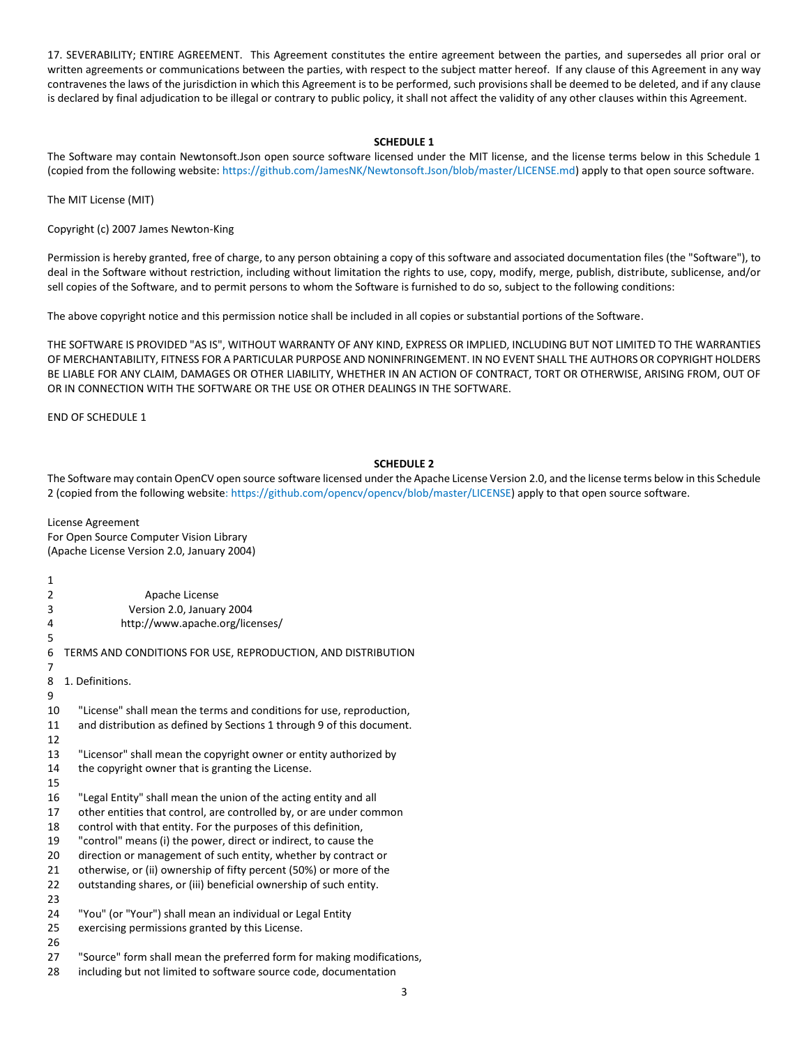17. SEVERABILITY; ENTIRE AGREEMENT.This Agreement constitutes the entire agreement between the parties, and supersedes all prior oral or written agreements or communications between the parties, with respect to the subject matter hereof. If any clause of this Agreement in any way contravenes the laws of the jurisdiction in which this Agreement is to be performed, such provisions shall be deemed to be deleted, and if any clause is declared by final adjudication to be illegal or contrary to public policy, it shall not affect the validity of any other clauses within this Agreement.

## **SCHEDULE 1**

The Software may contain Newtonsoft.Json open source software licensed under the MIT license, and the license terms below in this Schedule 1 (copied from the following website[: https://github.com/JamesNK/Newtonsoft.Json/blob/master/LICENSE.md\)](https://github.com/JamesNK/Newtonsoft.Json/blob/master/LICENSE.md) apply to that open source software.

The MIT License (MIT)

Copyright (c) 2007 James Newton-King

Permission is hereby granted, free of charge, to any person obtaining a copy of this software and associated documentation files (the "Software"), to deal in the Software without restriction, including without limitation the rights to use, copy, modify, merge, publish, distribute, sublicense, and/or sell copies of the Software, and to permit persons to whom the Software is furnished to do so, subject to the following conditions:

The above copyright notice and this permission notice shall be included in all copies or substantial portions of the Software.

THE SOFTWARE IS PROVIDED "AS IS", WITHOUT WARRANTY OF ANY KIND, EXPRESS OR IMPLIED, INCLUDING BUT NOT LIMITED TO THE WARRANTIES OF MERCHANTABILITY, FITNESS FOR A PARTICULAR PURPOSE AND NONINFRINGEMENT. IN NO EVENT SHALL THE AUTHORS OR COPYRIGHT HOLDERS BE LIABLE FOR ANY CLAIM, DAMAGES OR OTHER LIABILITY, WHETHER IN AN ACTION OF CONTRACT, TORT OR OTHERWISE, ARISING FROM, OUT OF OR IN CONNECTION WITH THE SOFTWARE OR THE USE OR OTHER DEALINGS IN THE SOFTWARE.

END OF SCHEDULE 1

# **SCHEDULE 2**

The Software may contain OpenCV open source software licensed under the Apache License Version 2.0, and the license terms below in this Schedule 2 (copied from the following website: [https://github.com/opencv/opencv/blob/master/LICENSE\)](https://github.com/opencv/opencv/blob/master/LICENSE) apply to that open source software.

License Agreement For Open Source Computer Vision Library (Apache License Version 2.0, January 2004)

3 1 2 Apache License 3 Version 2.0, January 2004 4 http://www.apache.org/licenses/ 5 6 TERMS AND CONDITIONS FOR USE, REPRODUCTION, AND DISTRIBUTION 7 8 1. Definitions. 9 10 "License" shall mean the terms and conditions for use, reproduction, 11 and distribution as defined by Sections 1 through 9 of this document. 12 13 "Licensor" shall mean the copyright owner or entity authorized by 14 the copyright owner that is granting the License. 15 16 "Legal Entity" shall mean the union of the acting entity and all 17 other entities that control, are controlled by, or are under common 18 control with that entity. For the purposes of this definition, 19 "control" means (i) the power, direct or indirect, to cause the 20 direction or management of such entity, whether by contract or 21 otherwise, or (ii) ownership of fifty percent (50%) or more of the 22 outstanding shares, or (iii) beneficial ownership of such entity. 23 24 "You" (or "Your") shall mean an individual or Legal Entity 25 exercising permissions granted by this License. 26 27 "Source" form shall mean the preferred form for making modifications, 28 including but not limited to software source code, documentation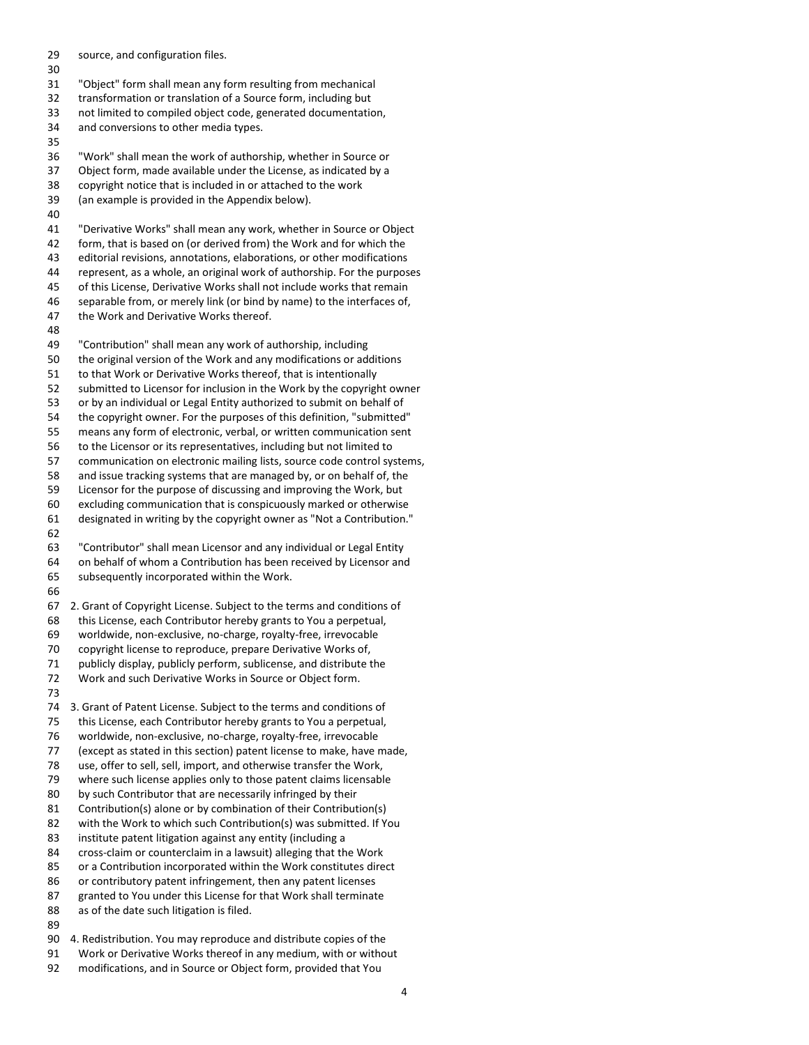29 source, and configuration files. 30 31 "Object" form shall mean any form resulting from mechanical 32 transformation or translation of a Source form, including but 33 not limited to compiled object code, generated documentation, 34 and conversions to other media types. 35 36 "Work" shall mean the work of authorship, whether in Source or 37 Object form, made available under the License, as indicated by a 38 copyright notice that is included in or attached to the work 39 (an example is provided in the Appendix below). 40 41 "Derivative Works" shall mean any work, whether in Source or Object 42 form, that is based on (or derived from) the Work and for which the 43 editorial revisions, annotations, elaborations, or other modifications 44 represent, as a whole, an original work of authorship. For the purposes 45 of this License, Derivative Works shall not include works that remain 46 separable from, or merely link (or bind by name) to the interfaces of, 47 the Work and Derivative Works thereof. 48 49 "Contribution" shall mean any work of authorship, including 50 the original version of the Work and any modifications or additions 51 to that Work or Derivative Works thereof, that is intentionally 52 submitted to Licensor for inclusion in the Work by the copyright owner 53 or by an individual or Legal Entity authorized to submit on behalf of 54 the copyright owner. For the purposes of this definition, "submitted" 55 means any form of electronic, verbal, or written communication sent 56 to the Licensor or its representatives, including but not limited to 57 communication on electronic mailing lists, source code control systems, 58 and issue tracking systems that are managed by, or on behalf of, the 59 Licensor for the purpose of discussing and improving the Work, but 60 excluding communication that is conspicuously marked or otherwise 61 designated in writing by the copyright owner as "Not a Contribution." 62 63 "Contributor" shall mean Licensor and any individual or Legal Entity 64 on behalf of whom a Contribution has been received by Licensor and 65 subsequently incorporated within the Work. 66 67 2. Grant of Copyright License. Subject to the terms and conditions of 68 this License, each Contributor hereby grants to You a perpetual, 69 worldwide, non-exclusive, no-charge, royalty-free, irrevocable 70 copyright license to reproduce, prepare Derivative Works of, 71 publicly display, publicly perform, sublicense, and distribute the 72 Work and such Derivative Works in Source or Object form. 73 74 3. Grant of Patent License. Subject to the terms and conditions of 75 this License, each Contributor hereby grants to You a perpetual, 76 worldwide, non-exclusive, no-charge, royalty-free, irrevocable 77 (except as stated in this section) patent license to make, have made, 78 use, offer to sell, sell, import, and otherwise transfer the Work, 79 where such license applies only to those patent claims licensable 80 by such Contributor that are necessarily infringed by their 81 Contribution(s) alone or by combination of their Contribution(s)<br>82 with the Work to which such Contribution(s) was submitted. If Y with the Work to which such Contribution(s) was submitted. If You 83 institute patent litigation against any entity (including a 84 cross-claim or counterclaim in a lawsuit) alleging that the Work 85 or a Contribution incorporated within the Work constitutes direct 86 or contributory patent infringement, then any patent licenses 87 granted to You under this License for that Work shall terminate 88 as of the date such litigation is filed. 89 90 4. Redistribution. You may reproduce and distribute copies of the 91 Work or Derivative Works thereof in any medium, with or without

92 modifications, and in Source or Object form, provided that You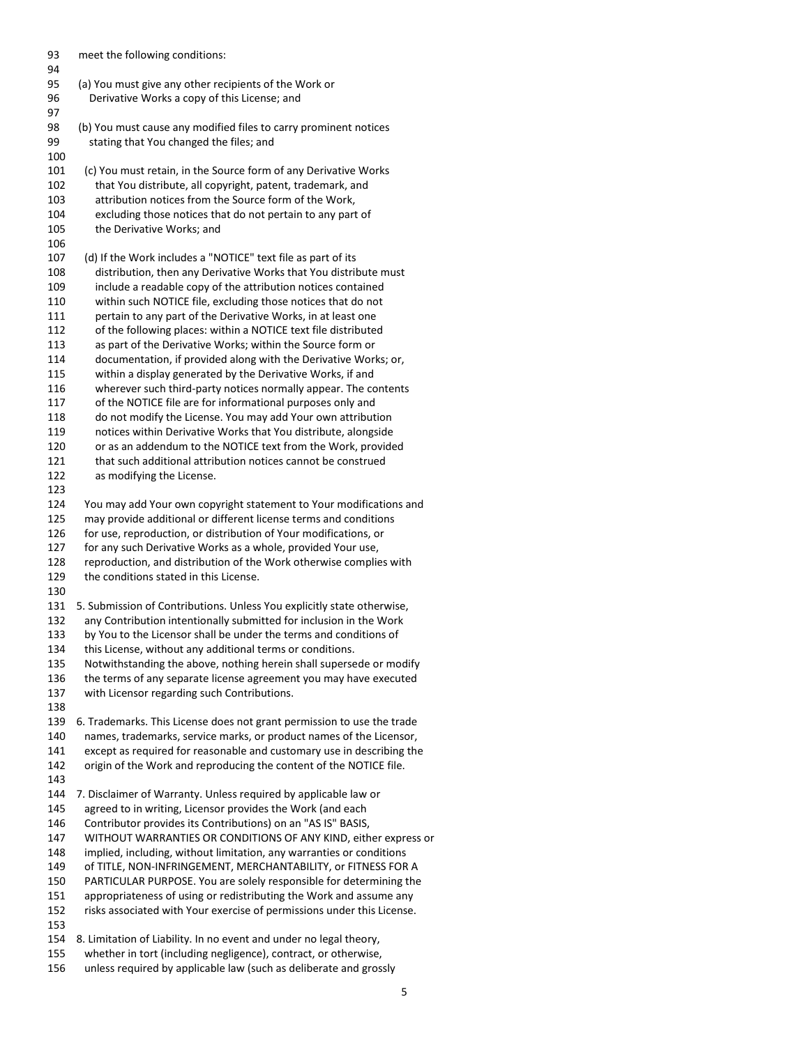93 meet the following conditions: 94 95 (a) You must give any other recipients of the Work or 96 Derivative Works a copy of this License; and 97 98 (b) You must cause any modified files to carry prominent notices 99 stating that You changed the files; and 100 101 (c) You must retain, in the Source form of any Derivative Works 102 that You distribute, all copyright, patent, trademark, and 103 attribution notices from the Source form of the Work, 104 excluding those notices that do not pertain to any part of 105 the Derivative Works; and 106 107 (d) If the Work includes a "NOTICE" text file as part of its 108 distribution, then any Derivative Works that You distribute must 109 include a readable copy of the attribution notices contained 110 within such NOTICE file, excluding those notices that do not 111 pertain to any part of the Derivative Works, in at least one 112 of the following places: within a NOTICE text file distributed 113 as part of the Derivative Works; within the Source form or 114 documentation, if provided along with the Derivative Works; or, 115 within a display generated by the Derivative Works, if and 116 wherever such third-party notices normally appear. The contents 117 of the NOTICE file are for informational purposes only and 118 do not modify the License. You may add Your own attribution 119 notices within Derivative Works that You distribute, alongside 120 or as an addendum to the NOTICE text from the Work, provided 121 that such additional attribution notices cannot be construed 122 as modifying the License. 123 124 You may add Your own copyright statement to Your modifications and 125 may provide additional or different license terms and conditions 126 for use, reproduction, or distribution of Your modifications, or 127 for any such Derivative Works as a whole, provided Your use, 128 reproduction, and distribution of the Work otherwise complies with 129 the conditions stated in this License. 130 131 5. Submission of Contributions. Unless You explicitly state otherwise, 132 any Contribution intentionally submitted for inclusion in the Work 133 by You to the Licensor shall be under the terms and conditions of 134 this License, without any additional terms or conditions. 135 Notwithstanding the above, nothing herein shall supersede or modify 136 the terms of any separate license agreement you may have executed 137 with Licensor regarding such Contributions. 138 139 6. Trademarks. This License does not grant permission to use the trade 140 names, trademarks, service marks, or product names of the Licensor, 141 except as required for reasonable and customary use in describing the 142 origin of the Work and reproducing the content of the NOTICE file. 143 144 7. Disclaimer of Warranty. Unless required by applicable law or 145 agreed to in writing, Licensor provides the Work (and each 146 Contributor provides its Contributions) on an "AS IS" BASIS, 147 WITHOUT WARRANTIES OR CONDITIONS OF ANY KIND, either express or 148 implied, including, without limitation, any warranties or conditions 149 of TITLE, NON-INFRINGEMENT, MERCHANTABILITY, or FITNESS FOR A 150 PARTICULAR PURPOSE. You are solely responsible for determining the 151 appropriateness of using or redistributing the Work and assume any 152 risks associated with Your exercise of permissions under this License. 153 154 8. Limitation of Liability. In no event and under no legal theory, 155 whether in tort (including negligence), contract, or otherwise, 156 unless required by applicable law (such as deliberate and grossly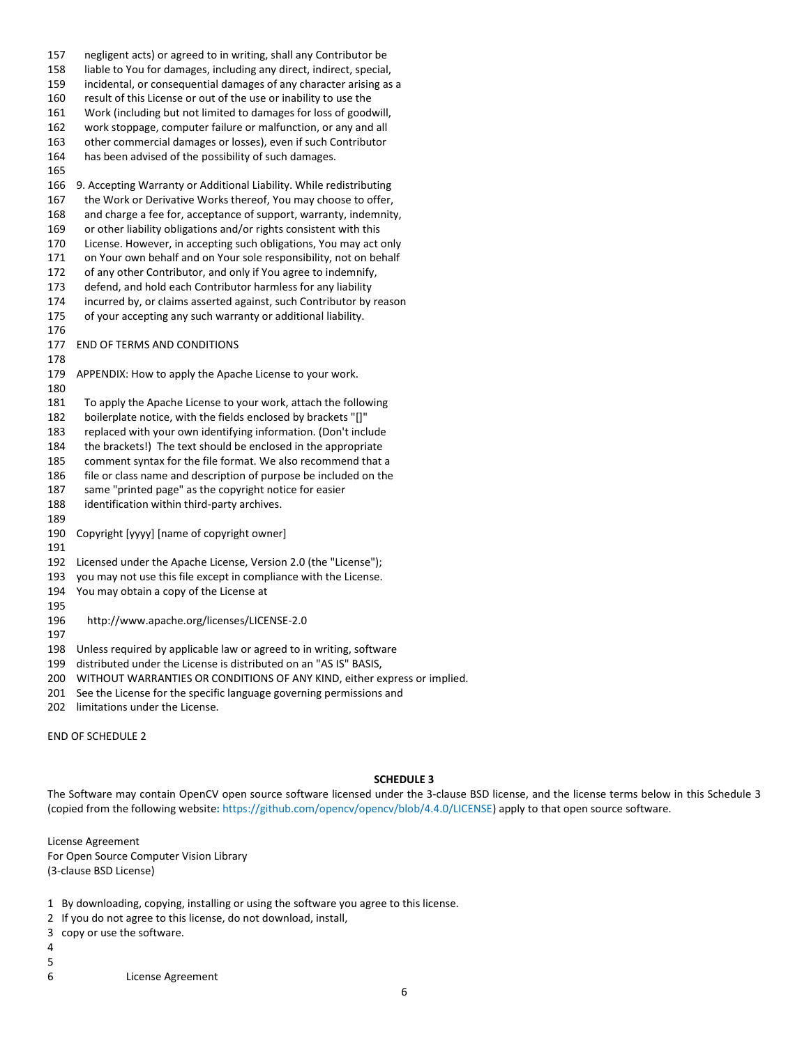157 negligent acts) or agreed to in writing, shall any Contributor be 158 liable to You for damages, including any direct, indirect, special, 159 incidental, or consequential damages of any character arising as a 160 result of this License or out of the use or inability to use the 161 Work (including but not limited to damages for loss of goodwill, 162 work stoppage, computer failure or malfunction, or any and all 163 other commercial damages or losses), even if such Contributor 164 has been advised of the possibility of such damages. 165 166 9. Accepting Warranty or Additional Liability. While redistributing 167 the Work or Derivative Works thereof, You may choose to offer, 168 and charge a fee for, acceptance of support, warranty, indemnity, 169 or other liability obligations and/or rights consistent with this 170 License. However, in accepting such obligations, You may act only 171 on Your own behalf and on Your sole responsibility, not on behalf 172 of any other Contributor, and only if You agree to indemnify, 173 defend, and hold each Contributor harmless for any liability 174 incurred by, or claims asserted against, such Contributor by reason 175 of your accepting any such warranty or additional liability. 176 177 END OF TERMS AND CONDITIONS 178 179 APPENDIX: How to apply the Apache License to your work. 180 181 To apply the Apache License to your work, attach the following 182 boilerplate notice, with the fields enclosed by brackets "[]" 183 replaced with your own identifying information. (Don't include 184 the brackets!) The text should be enclosed in the appropriate 185 comment syntax for the file format. We also recommend that a 186 file or class name and description of purpose be included on the 187 same "printed page" as the copyright notice for easier 188 identification within third-party archives. 189 190 Copyright [yyyy] [name of copyright owner] 191 192 Licensed under the Apache License, Version 2.0 (the "License"); 193 you may not use this file except in compliance with the License. 194 You may obtain a copy of the License at 195 196 http://www.apache.org/licenses/LICENSE-2.0 197 198 Unless required by applicable law or agreed to in writing, software

- 199 distributed under the License is distributed on an "AS IS" BASIS,
- 200 WITHOUT WARRANTIES OR CONDITIONS OF ANY KIND, either express or implied.
- 201 See the License for the specific language governing permissions and
- 202 limitations under the License.

END OF SCHEDULE 2

#### **SCHEDULE 3**

The Software may contain OpenCV open source software licensed under the 3-clause BSD license, and the license terms below in this Schedule 3 (copied from the following website**:** [https://github.com/opencv/opencv/blob/4.4.0/LICENSE\)](https://github.com/opencv/opencv/blob/4.4.0/LICENSE) apply to that open source software.

License Agreement For Open Source Computer Vision Library (3-clause BSD License)

- 1 By downloading, copying, installing or using the software you agree to this license.
- 2 If you do not agree to this license, do not download, install,
- 3 copy or use the software.
- 4 5
- 
- 6 License Agreement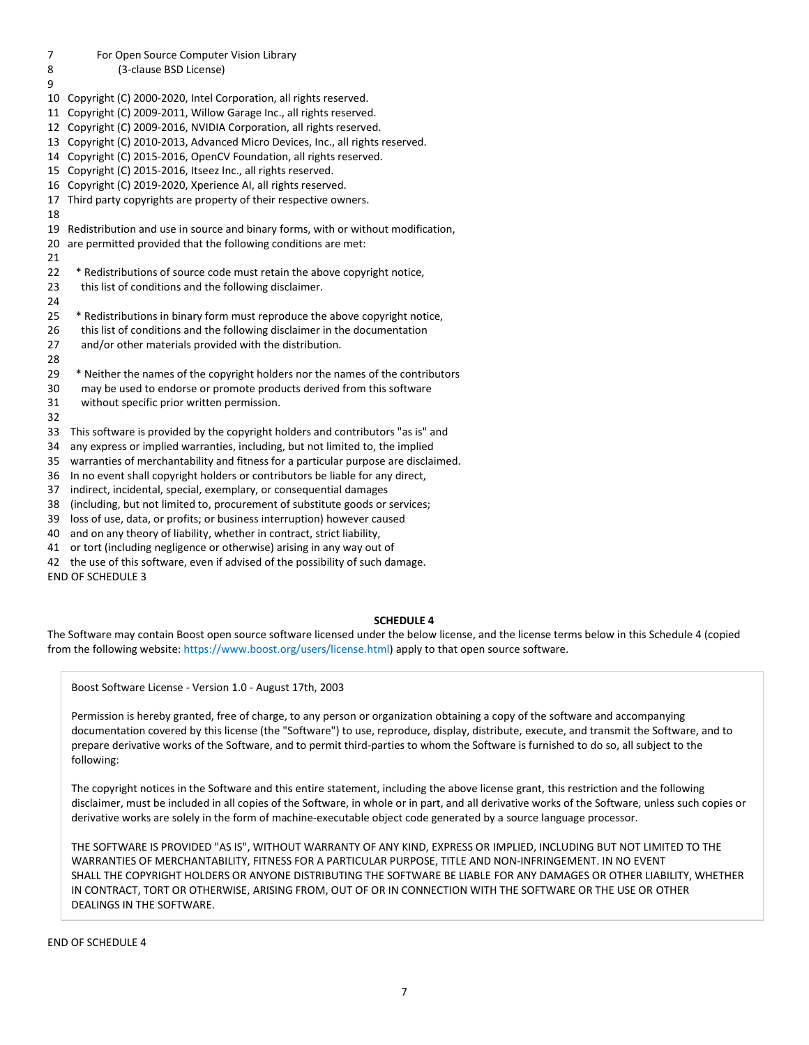# 7 For Open Source Computer Vision Library 8 (3-clause BSD License) 9 10 Copyright (C) 2000-2020, Intel Corporation, all rights reserved. 11 Copyright (C) 2009-2011, Willow Garage Inc., all rights reserved. 12 Copyright (C) 2009-2016, NVIDIA Corporation, all rights reserved. 13 Copyright (C) 2010-2013, Advanced Micro Devices, Inc., all rights reserved. 14 Copyright (C) 2015-2016, OpenCV Foundation, all rights reserved. 15 Copyright (C) 2015-2016, Itseez Inc., all rights reserved. 16 Copyright (C) 2019-2020, Xperience AI, all rights reserved. 17 Third party copyrights are property of their respective owners. 18 19 Redistribution and use in source and binary forms, with or without modification, 20 are permitted provided that the following conditions are met: 21 22 \* Redistributions of source code must retain the above copyright notice, 23 this list of conditions and the following disclaimer. 24 25 \* Redistributions in binary form must reproduce the above copyright notice, 26 this list of conditions and the following disclaimer in the documentation 27 and/or other materials provided with the distribution. 28 29 \* Neither the names of the copyright holders nor the names of the contributors 30 may be used to endorse or promote products derived from this software 31 without specific prior written permission. 32 33 This software is provided by the copyright holders and contributors "as is" and 34 any express or implied warranties, including, but not limited to, the implied 35 warranties of merchantability and fitness for a particular purpose are disclaimed. 36 In no event shall copyright holders or contributors be liable for any direct, 37 indirect, incidental, special, exemplary, or consequential damages 38 (including, but not limited to, procurement of substitute goods or services; 39 loss of use, data, or profits; or business interruption) however caused 40 and on any theory of liability, whether in contract, strict liability, 41 or tort (including negligence or otherwise) arising in any way out of 42 the use of this software, even if advised of the possibility of such damage. END OF SCHEDULE 3

# **SCHEDULE 4**

The Software may contain Boost open source software licensed under the below license, and the license terms below in this Schedule 4 (copied from the following website: [https://www.boost.org/users/license.html\)](https://www.boost.org/users/license.html) apply to that open source software.

Boost Software License - Version 1.0 - August 17th, 2003

Permission is hereby granted, free of charge, to any person or organization obtaining a copy of the software and accompanying documentation covered by this license (the "Software") to use, reproduce, display, distribute, execute, and transmit the Software, and to prepare derivative works of the Software, and to permit third-parties to whom the Software is furnished to do so, all subject to the following:

The copyright notices in the Software and this entire statement, including the above license grant, this restriction and the following disclaimer, must be included in all copies of the Software, in whole or in part, and all derivative works of the Software, unless such copies or derivative works are solely in the form of machine-executable object code generated by a source language processor.

THE SOFTWARE IS PROVIDED "AS IS", WITHOUT WARRANTY OF ANY KIND, EXPRESS OR IMPLIED, INCLUDING BUT NOT LIMITED TO THE WARRANTIES OF MERCHANTABILITY, FITNESS FOR A PARTICULAR PURPOSE, TITLE AND NON-INFRINGEMENT. IN NO EVENT SHALL THE COPYRIGHT HOLDERS OR ANYONE DISTRIBUTING THE SOFTWARE BE LIABLE FOR ANY DAMAGES OR OTHER LIABILITY, WHETHER IN CONTRACT, TORT OR OTHERWISE, ARISING FROM, OUT OF OR IN CONNECTION WITH THE SOFTWARE OR THE USE OR OTHER DEALINGS IN THE SOFTWARE.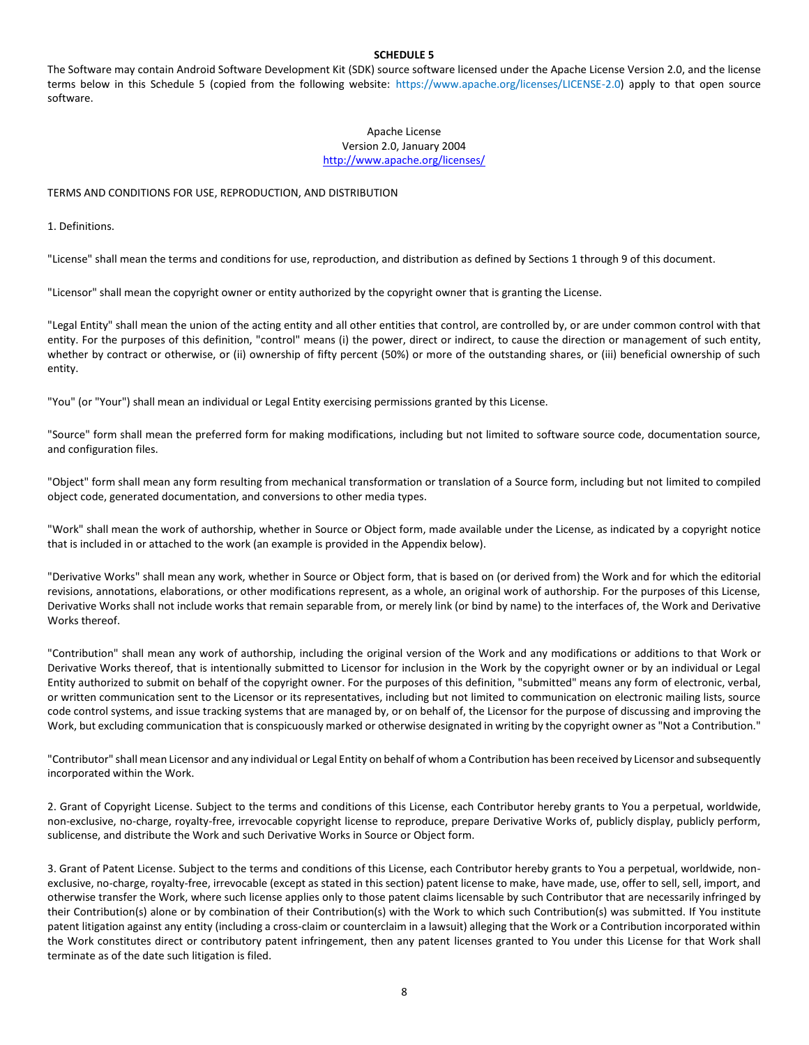# **SCHEDULE 5**

The Software may contain Android Software Development Kit (SDK) source software licensed under the Apache License Version 2.0, and the license terms below in this Schedule 5 (copied from the following website: [https://www.apache.org/licenses/LICENSE-2.0\)](https://www.apache.org/licenses/LICENSE-2.0) apply to that open source software.

## Apache License Version 2.0, January 2004 <http://www.apache.org/licenses/>

## TERMS AND CONDITIONS FOR USE, REPRODUCTION, AND DISTRIBUTION

1. Definitions.

"License" shall mean the terms and conditions for use, reproduction, and distribution as defined by Sections 1 through 9 of this document.

"Licensor" shall mean the copyright owner or entity authorized by the copyright owner that is granting the License.

"Legal Entity" shall mean the union of the acting entity and all other entities that control, are controlled by, or are under common control with that entity. For the purposes of this definition, "control" means (i) the power, direct or indirect, to cause the direction or management of such entity, whether by contract or otherwise, or (ii) ownership of fifty percent (50%) or more of the outstanding shares, or (iii) beneficial ownership of such entity.

"You" (or "Your") shall mean an individual or Legal Entity exercising permissions granted by this License.

"Source" form shall mean the preferred form for making modifications, including but not limited to software source code, documentation source, and configuration files.

"Object" form shall mean any form resulting from mechanical transformation or translation of a Source form, including but not limited to compiled object code, generated documentation, and conversions to other media types.

"Work" shall mean the work of authorship, whether in Source or Object form, made available under the License, as indicated by a copyright notice that is included in or attached to the work (an example is provided in the Appendix below).

"Derivative Works" shall mean any work, whether in Source or Object form, that is based on (or derived from) the Work and for which the editorial revisions, annotations, elaborations, or other modifications represent, as a whole, an original work of authorship. For the purposes of this License, Derivative Works shall not include works that remain separable from, or merely link (or bind by name) to the interfaces of, the Work and Derivative Works thereof.

"Contribution" shall mean any work of authorship, including the original version of the Work and any modifications or additions to that Work or Derivative Works thereof, that is intentionally submitted to Licensor for inclusion in the Work by the copyright owner or by an individual or Legal Entity authorized to submit on behalf of the copyright owner. For the purposes of this definition, "submitted" means any form of electronic, verbal, or written communication sent to the Licensor or its representatives, including but not limited to communication on electronic mailing lists, source code control systems, and issue tracking systems that are managed by, or on behalf of, the Licensor for the purpose of discussing and improving the Work, but excluding communication that is conspicuously marked or otherwise designated in writing by the copyright owner as "Not a Contribution."

"Contributor" shall mean Licensor and any individual or Legal Entity on behalf of whom a Contribution has been received by Licensor and subsequently incorporated within the Work.

2. Grant of Copyright License. Subject to the terms and conditions of this License, each Contributor hereby grants to You a perpetual, worldwide, non-exclusive, no-charge, royalty-free, irrevocable copyright license to reproduce, prepare Derivative Works of, publicly display, publicly perform, sublicense, and distribute the Work and such Derivative Works in Source or Object form.

3. Grant of Patent License. Subject to the terms and conditions of this License, each Contributor hereby grants to You a perpetual, worldwide, nonexclusive, no-charge, royalty-free, irrevocable (except as stated in this section) patent license to make, have made, use, offer to sell, sell, import, and otherwise transfer the Work, where such license applies only to those patent claims licensable by such Contributor that are necessarily infringed by their Contribution(s) alone or by combination of their Contribution(s) with the Work to which such Contribution(s) was submitted. If You institute patent litigation against any entity (including a cross-claim or counterclaim in a lawsuit) alleging that the Work or a Contribution incorporated within the Work constitutes direct or contributory patent infringement, then any patent licenses granted to You under this License for that Work shall terminate as of the date such litigation is filed.